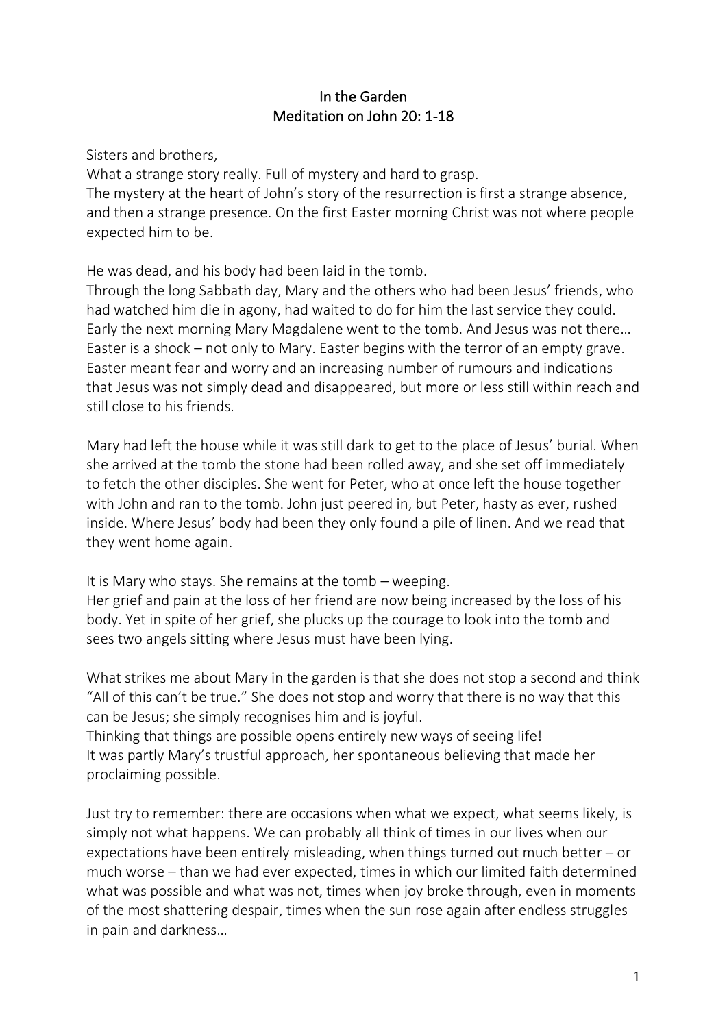## In the Garden Meditation on John 20: 1-18

Sisters and brothers,

What a strange story really. Full of mystery and hard to grasp. The mystery at the heart of John's story of the resurrection is first a strange absence, and then a strange presence. On the first Easter morning Christ was not where people expected him to be.

He was dead, and his body had been laid in the tomb.

Through the long Sabbath day, Mary and the others who had been Jesus' friends, who had watched him die in agony, had waited to do for him the last service they could. Early the next morning Mary Magdalene went to the tomb. And Jesus was not there… Easter is a shock – not only to Mary. Easter begins with the terror of an empty grave. Easter meant fear and worry and an increasing number of rumours and indications that Jesus was not simply dead and disappeared, but more or less still within reach and still close to his friends.

Mary had left the house while it was still dark to get to the place of Jesus' burial. When she arrived at the tomb the stone had been rolled away, and she set off immediately to fetch the other disciples. She went for Peter, who at once left the house together with John and ran to the tomb. John just peered in, but Peter, hasty as ever, rushed inside. Where Jesus' body had been they only found a pile of linen. And we read that they went home again.

It is Mary who stays. She remains at the tomb – weeping.

Her grief and pain at the loss of her friend are now being increased by the loss of his body. Yet in spite of her grief, she plucks up the courage to look into the tomb and sees two angels sitting where Jesus must have been lying.

What strikes me about Mary in the garden is that she does not stop a second and think "All of this can't be true." She does not stop and worry that there is no way that this can be Jesus; she simply recognises him and is joyful.

Thinking that things are possible opens entirely new ways of seeing life! It was partly Mary's trustful approach, her spontaneous believing that made her proclaiming possible.

Just try to remember: there are occasions when what we expect, what seems likely, is simply not what happens. We can probably all think of times in our lives when our expectations have been entirely misleading, when things turned out much better – or much worse – than we had ever expected, times in which our limited faith determined what was possible and what was not, times when joy broke through, even in moments of the most shattering despair, times when the sun rose again after endless struggles in pain and darkness…